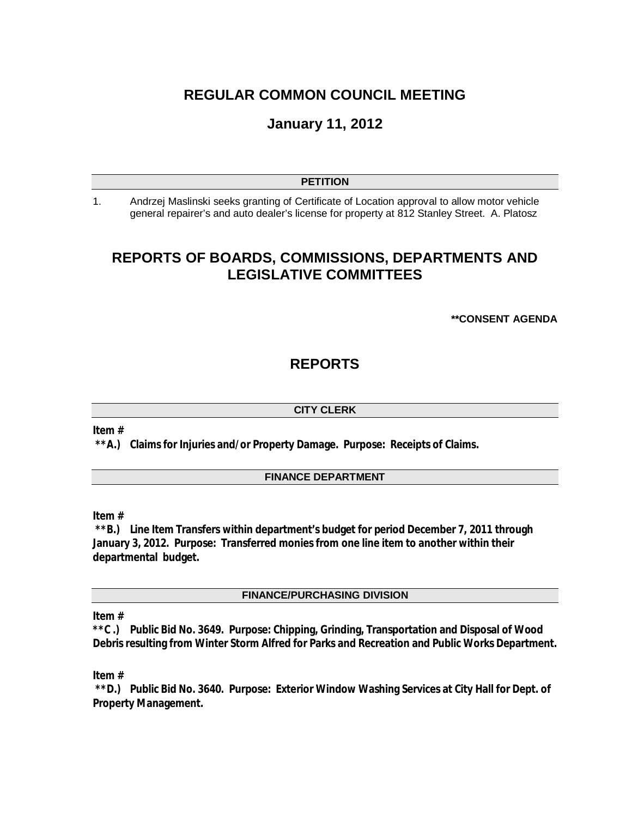# **REGULAR COMMON COUNCIL MEETING**

# **January 11, 2012**

#### **PETITION**

1. Andrzej Maslinski seeks granting of Certificate of Location approval to allow motor vehicle general repairer's and auto dealer's license for property at 812 Stanley Street. A. Platosz

# **REPORTS OF BOARDS, COMMISSIONS, DEPARTMENTS AND LEGISLATIVE COMMITTEES**

#### **\*\*CONSENT AGENDA**

# **REPORTS**

#### **CITY CLERK**

#### **Item #**

**\*\*A.) Claims for Injuries and/or Property Damage. Purpose: Receipts of Claims.** 

## **FINANCE DEPARTMENT**

**Item #**

**\*\*B.) Line Item Transfers within department's budget for period December 7, 2011 through January 3, 2012. Purpose: Transferred monies from one line item to another within their departmental budget.**

**FINANCE/PURCHASING DIVISION**

### **Item #**

**\*\*C .) Public Bid No. 3649. Purpose: Chipping, Grinding, Transportation and Disposal of Wood Debris resulting from Winter Storm Alfred for Parks and Recreation and Public Works Department.**

#### **Item #**

**\*\*D.) Public Bid No. 3640. Purpose: Exterior Window Washing Services at City Hall for Dept. of Property Management.**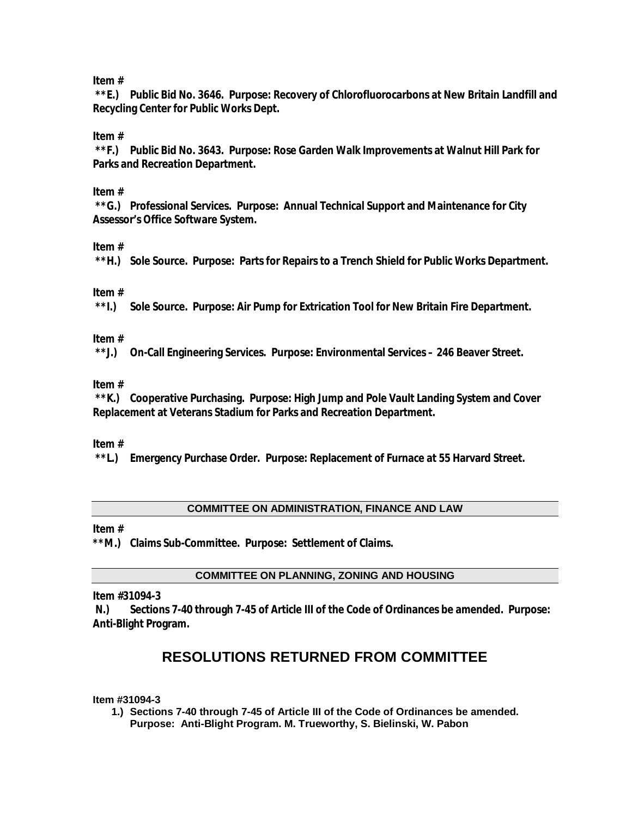## **Item #**

**\*\*E.) Public Bid No. 3646. Purpose: Recovery of Chlorofluorocarbons at New Britain Landfill and Recycling Center for Public Works Dept.** 

**Item #**

**\*\*F.) Public Bid No. 3643. Purpose: Rose Garden Walk Improvements at Walnut Hill Park for Parks and Recreation Department.**

### **Item #**

**\*\*G.) Professional Services. Purpose: Annual Technical Support and Maintenance for City Assessor's Office Software System.** 

## **Item #**

**\*\*H.) Sole Source. Purpose: Parts for Repairs to a Trench Shield for Public Works Department.** 

### **Item #**

**\*\*I.) Sole Source. Purpose: Air Pump for Extrication Tool for New Britain Fire Department.** 

### **Item #**

**\*\*J.) On-Call Engineering Services. Purpose: Environmental Services – 246 Beaver Street.**

### **Item #**

**\*\*K.) Cooperative Purchasing. Purpose: High Jump and Pole Vault Landing System and Cover Replacement at Veterans Stadium for Parks and Recreation Department.** 

### **Item #**

**\*\*L.) Emergency Purchase Order. Purpose: Replacement of Furnace at 55 Harvard Street.** 

### **COMMITTEE ON ADMINISTRATION, FINANCE AND LAW**

### **Item #**

**\*\*M.) Claims Sub-Committee. Purpose: Settlement of Claims.** 

### **COMMITTEE ON PLANNING, ZONING AND HOUSING**

**Item #31094-3**

**N.) Sections 7-40 through 7-45 of Article III of the Code of Ordinances be amended. Purpose: Anti-Blight Program.**

# **RESOLUTIONS RETURNED FROM COMMITTEE**

**Item #31094-3**

**1.) Sections 7-40 through 7-45 of Article III of the Code of Ordinances be amended. Purpose: Anti-Blight Program. M. Trueworthy, S. Bielinski, W. Pabon**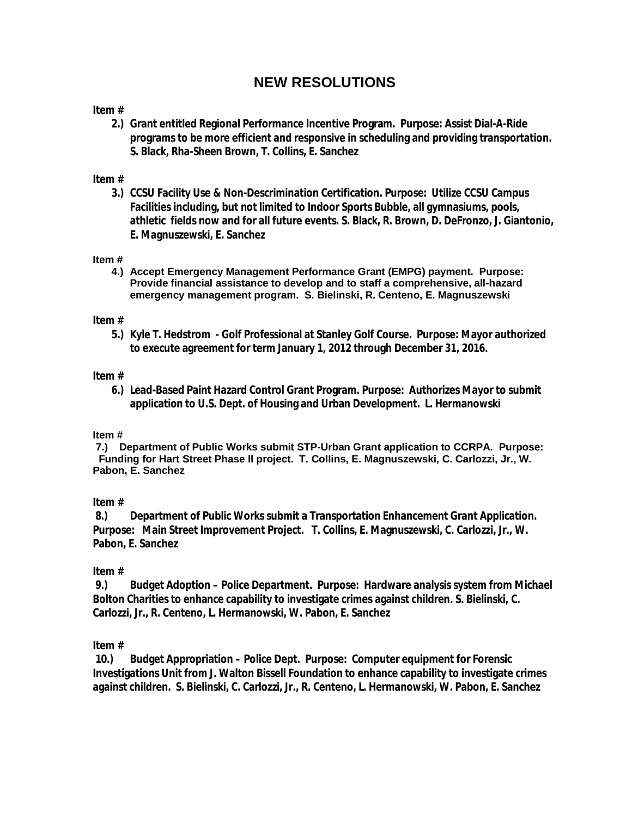# **NEW RESOLUTIONS**

## **Item #**

**2.) Grant entitled Regional Performance Incentive Program. Purpose: Assist Dial-A-Ride programs to be more efficient and responsive in scheduling and providing transportation. S. Black, Rha-Sheen Brown, T. Collins, E. Sanchez**

### **Item #**

**3.) CCSU Facility Use & Non-Descrimination Certification. Purpose: Utilize CCSU Campus Facilities including, but not limited to Indoor Sports Bubble, all gymnasiums, pools, athletic fields now and for all future events. S. Black, R. Brown, D. DeFronzo, J. Giantonio, E. Magnuszewski, E. Sanchez**

#### **Item #**

**4.) Accept Emergency Management Performance Grant (EMPG) payment. Purpose: Provide financial assistance to develop and to staff a comprehensive, all-hazard emergency management program. S. Bielinski, R. Centeno, E. Magnuszewski**

### **Item #**

**5.) Kyle T. Hedstrom - Golf Professional at Stanley Golf Course. Purpose: Mayor authorized to execute agreement for term January 1, 2012 through December 31, 2016.** 

#### **Item #**

**6.) Lead-Based Paint Hazard Control Grant Program. Purpose: Authorizes Mayor to submit application to U.S. Dept. of Housing and Urban Development. L. Hermanowski** 

#### **Item #**

**7.) Department of Public Works submit STP-Urban Grant application to CCRPA. Purpose: Funding for Hart Street Phase II project. T. Collins, E. Magnuszewski, C. Carlozzi, Jr., W. Pabon, E. Sanchez**

### **Item #**

**8.) Department of Public Works submit a Transportation Enhancement Grant Application. Purpose: Main Street Improvement Project. T. Collins, E. Magnuszewski, C. Carlozzi, Jr., W. Pabon, E. Sanchez**

### **Item #**

**9.) Budget Adoption – Police Department. Purpose: Hardware analysis system from Michael Bolton Charities to enhance capability to investigate crimes against children. S. Bielinski, C. Carlozzi, Jr., R. Centeno, L. Hermanowski, W. Pabon, E. Sanchez**

### **Item #**

**10.) Budget Appropriation – Police Dept. Purpose: Computer equipment for Forensic Investigations Unit from J. Walton Bissell Foundation to enhance capability to investigate crimes against children. S. Bielinski, C. Carlozzi, Jr., R. Centeno, L. Hermanowski, W. Pabon, E. Sanchez**